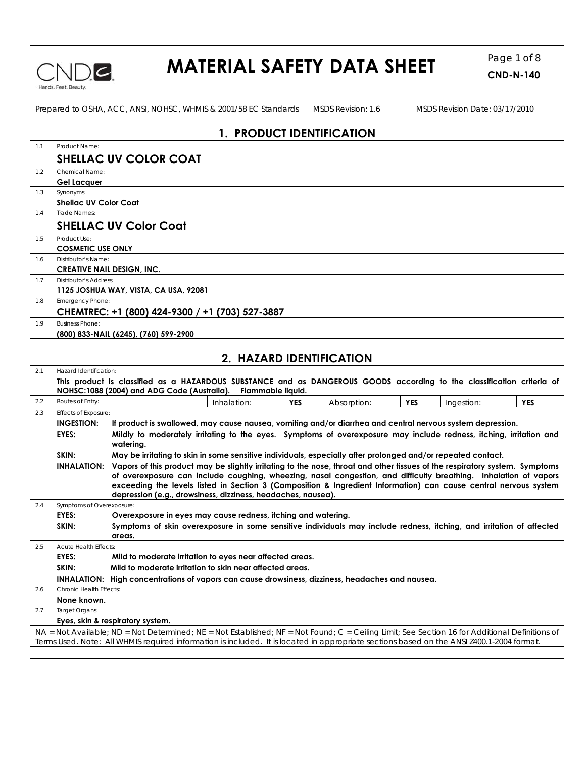|  |  | Hands. Feet. Beauty. |  |
|--|--|----------------------|--|

# **MATERIAL SAFETY DATA SHEET**  $\begin{bmatrix} \text{Page 1 of 8} \\ \text{CND N 149} \end{bmatrix}$

|     |                                          | Prepared to OSHA, ACC, ANSI, NOHSC, WHMIS & 2001/58 EC Standards                                                                               | MSDS Revision: 1.6 | MSDS Revision Date: 03/17/2010         |  |  |  |  |
|-----|------------------------------------------|------------------------------------------------------------------------------------------------------------------------------------------------|--------------------|----------------------------------------|--|--|--|--|
|     |                                          |                                                                                                                                                |                    |                                        |  |  |  |  |
|     | 1. PRODUCT IDENTIFICATION                |                                                                                                                                                |                    |                                        |  |  |  |  |
| 1.1 | Product Name:                            |                                                                                                                                                |                    |                                        |  |  |  |  |
|     |                                          | <b>SHELLAC UV COLOR COAT</b>                                                                                                                   |                    |                                        |  |  |  |  |
|     |                                          |                                                                                                                                                |                    |                                        |  |  |  |  |
| 1.2 | Chemical Name:<br><b>Gel Lacquer</b>     |                                                                                                                                                |                    |                                        |  |  |  |  |
| 1.3 | Synonyms:                                |                                                                                                                                                |                    |                                        |  |  |  |  |
|     | <b>Shellac UV Color Coat</b>             |                                                                                                                                                |                    |                                        |  |  |  |  |
| 1.4 | Trade Names:                             |                                                                                                                                                |                    |                                        |  |  |  |  |
|     |                                          | <b>SHELLAC UV Color Coat</b>                                                                                                                   |                    |                                        |  |  |  |  |
|     |                                          |                                                                                                                                                |                    |                                        |  |  |  |  |
| 1.5 | Product Use:<br><b>COSMETIC USE ONLY</b> |                                                                                                                                                |                    |                                        |  |  |  |  |
| 1.6 | Distributor's Name:                      |                                                                                                                                                |                    |                                        |  |  |  |  |
|     | <b>CREATIVE NAIL DESIGN, INC.</b>        |                                                                                                                                                |                    |                                        |  |  |  |  |
| 1.7 | <b>Distributor's Address:</b>            |                                                                                                                                                |                    |                                        |  |  |  |  |
|     |                                          | 1125 JOSHUA WAY, VISTA, CA USA, 92081                                                                                                          |                    |                                        |  |  |  |  |
| 1.8 | Emergency Phone:                         |                                                                                                                                                |                    |                                        |  |  |  |  |
|     |                                          | CHEMTREC: +1 (800) 424-9300 / +1 (703) 527-3887                                                                                                |                    |                                        |  |  |  |  |
| 1.9 | <b>Business Phone:</b>                   |                                                                                                                                                |                    |                                        |  |  |  |  |
|     |                                          | (800) 833-NAIL (6245), (760) 599-2900                                                                                                          |                    |                                        |  |  |  |  |
|     |                                          |                                                                                                                                                |                    |                                        |  |  |  |  |
|     |                                          | 2. HAZARD IDENTIFICATION                                                                                                                       |                    |                                        |  |  |  |  |
| 2.1 | Hazard Identification:                   |                                                                                                                                                |                    |                                        |  |  |  |  |
|     |                                          | This product is classified as a HAZARDOUS SUBSTANCE and as DANGEROUS GOODS according to the classification criteria of                         |                    |                                        |  |  |  |  |
|     |                                          | NOHSC:1088 (2004) and ADG Code (Australia).<br>Flammable liquid.                                                                               |                    |                                        |  |  |  |  |
| 2.2 | Routes of Entry:                         | Inhalation:<br><b>YES</b>                                                                                                                      | Absorption:        | <b>YES</b><br><b>YES</b><br>Ingestion: |  |  |  |  |
| 2.3 | Effects of Exposure:                     |                                                                                                                                                |                    |                                        |  |  |  |  |
|     | <b>INGESTION:</b>                        | If product is swallowed, may cause nausea, vomiting and/or diarrhea and central nervous system depression.                                     |                    |                                        |  |  |  |  |
|     | EYES:                                    | Mildly to moderately irritating to the eyes. Symptoms of overexposure may include redness, itching, irritation and<br>watering.                |                    |                                        |  |  |  |  |
|     | SKIN:                                    | May be irritating to skin in some sensitive individuals, especially after prolonged and/or repeated contact.                                   |                    |                                        |  |  |  |  |
|     |                                          | INHALATION: Vapors of this product may be slightly irritating to the nose, throat and other tissues of the respiratory system. Symptoms        |                    |                                        |  |  |  |  |
|     |                                          | of overexposure can include coughing, wheezing, nasal congestion, and difficulty breathing. Inhalation of vapors                               |                    |                                        |  |  |  |  |
|     |                                          | exceeding the levels listed in Section 3 (Composition & Ingredient Information) can cause central nervous system                               |                    |                                        |  |  |  |  |
| 2.4 | Symptoms of Overexposure:                | depression (e.g., drowsiness, dizziness, headaches, nausea).                                                                                   |                    |                                        |  |  |  |  |
|     | EYES:                                    | Overexposure in eyes may cause redness, itching and watering.                                                                                  |                    |                                        |  |  |  |  |
|     | SKIN:                                    | Symptoms of skin overexposure in some sensitive individuals may include redness, itching, and irritation of affected                           |                    |                                        |  |  |  |  |
|     |                                          | areas.                                                                                                                                         |                    |                                        |  |  |  |  |
| 2.5 | Acute Health Effects:                    |                                                                                                                                                |                    |                                        |  |  |  |  |
|     | EYES:                                    | Mild to moderate irritation to eyes near affected areas.                                                                                       |                    |                                        |  |  |  |  |
|     | SKIN:                                    | Mild to moderate irritation to skin near affected areas.                                                                                       |                    |                                        |  |  |  |  |
|     | Chronic Health Effects:                  | INHALATION: High concentrations of vapors can cause drowsiness, dizziness, headaches and nausea.                                               |                    |                                        |  |  |  |  |
| 2.6 | None known.                              |                                                                                                                                                |                    |                                        |  |  |  |  |
| 2.7 | Target Organs:                           |                                                                                                                                                |                    |                                        |  |  |  |  |
|     |                                          | Eyes, skin & respiratory system.                                                                                                               |                    |                                        |  |  |  |  |
|     |                                          | NA = Not Available; ND = Not Determined; NE = Not Established; NF = Not Found; C = Ceiling Limit; See Section 16 for Additional Definitions of |                    |                                        |  |  |  |  |
|     |                                          | Terms Used. Note: All WHMIS required information is included. It is located in appropriate sections based on the ANSI Z400.1-2004 format.      |                    |                                        |  |  |  |  |
|     |                                          |                                                                                                                                                |                    |                                        |  |  |  |  |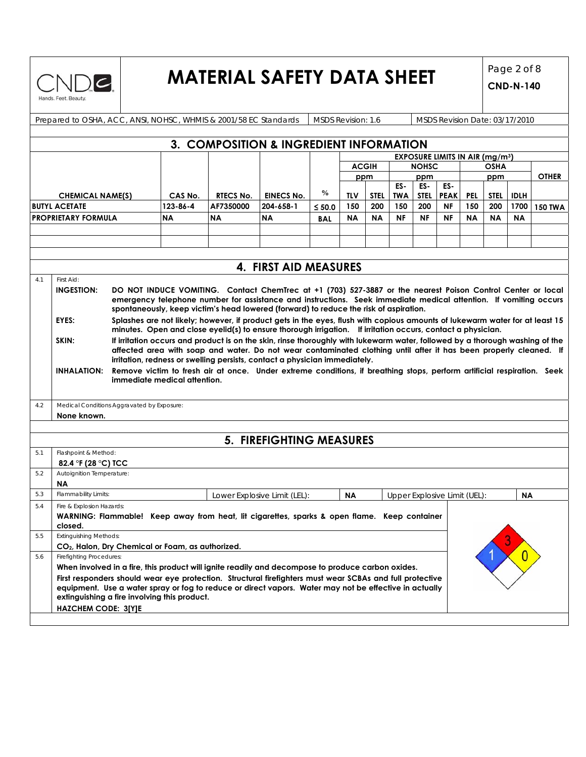

### **MATERIAL SAFETY DATA SHEET**  $\begin{bmatrix} \text{Page 2 of 8} \\ \text{CND N 149} \end{bmatrix}$

|                         | Prepared to OSHA, ACC, ANSI, NOHSC, WHMIS & 2001/58 EC Standards                                  |                                                                                                                                                                                                                    |                                                                                                                                                                                                 |                              | MSDS Revision: 1.6 |           |              |                   |                    | MSDS Revision Date: 03/17/2010                   |            |             |                |                |
|-------------------------|---------------------------------------------------------------------------------------------------|--------------------------------------------------------------------------------------------------------------------------------------------------------------------------------------------------------------------|-------------------------------------------------------------------------------------------------------------------------------------------------------------------------------------------------|------------------------------|--------------------|-----------|--------------|-------------------|--------------------|--------------------------------------------------|------------|-------------|----------------|----------------|
|                         |                                                                                                   |                                                                                                                                                                                                                    |                                                                                                                                                                                                 |                              |                    |           |              |                   |                    |                                                  |            |             |                |                |
|                         |                                                                                                   |                                                                                                                                                                                                                    | 3. COMPOSITION & INGREDIENT INFORMATION                                                                                                                                                         |                              |                    |           |              |                   |                    |                                                  |            |             |                |                |
|                         |                                                                                                   |                                                                                                                                                                                                                    |                                                                                                                                                                                                 |                              |                    |           |              |                   |                    | <b>EXPOSURE LIMITS IN AIR (mg/m<sup>3</sup>)</b> |            |             |                |                |
|                         |                                                                                                   |                                                                                                                                                                                                                    |                                                                                                                                                                                                 |                              |                    |           | <b>ACGIH</b> |                   | <b>NOHSC</b>       |                                                  |            | <b>OSHA</b> |                |                |
|                         |                                                                                                   |                                                                                                                                                                                                                    |                                                                                                                                                                                                 |                              |                    |           | ppm          |                   | ppm                |                                                  |            | ppm         |                | <b>OTHER</b>   |
| <b>CHEMICAL NAME(S)</b> |                                                                                                   | CAS No.                                                                                                                                                                                                            | <b>RTECS No.</b>                                                                                                                                                                                | <b>EINECS No.</b>            | $\frac{0}{0}$      | TLV       | <b>STEL</b>  | ES-<br><b>TWA</b> | ES-<br><b>STEL</b> | ES-<br><b>PEAK</b>                               | <b>PEL</b> | STEL        | <b>IDLH</b>    |                |
|                         | <b>BUTYL ACETATE</b>                                                                              | 123-86-4                                                                                                                                                                                                           | AF7350000                                                                                                                                                                                       | 204-658-1                    | $≤ 50.0$           | 150       | 200          | 150               | 200                | <b>NF</b>                                        | 150        | 200         | 1700           | <b>150 TWA</b> |
|                         | <b>PROPRIETARY FORMULA</b>                                                                        | <b>NA</b>                                                                                                                                                                                                          | ΝA                                                                                                                                                                                              | <b>NA</b>                    | BAL                | <b>NA</b> | <b>NA</b>    | <b>NF</b>         | <b>NF</b>          | <b>NF</b>                                        | <b>NA</b>  | <b>NA</b>   | <b>NA</b>      |                |
|                         |                                                                                                   |                                                                                                                                                                                                                    |                                                                                                                                                                                                 |                              |                    |           |              |                   |                    |                                                  |            |             |                |                |
|                         |                                                                                                   |                                                                                                                                                                                                                    |                                                                                                                                                                                                 |                              |                    |           |              |                   |                    |                                                  |            |             |                |                |
|                         |                                                                                                   |                                                                                                                                                                                                                    |                                                                                                                                                                                                 |                              |                    |           |              |                   |                    |                                                  |            |             |                |                |
|                         |                                                                                                   |                                                                                                                                                                                                                    |                                                                                                                                                                                                 | 4. FIRST AID MEASURES        |                    |           |              |                   |                    |                                                  |            |             |                |                |
| 4.1                     | First Aid:                                                                                        |                                                                                                                                                                                                                    |                                                                                                                                                                                                 |                              |                    |           |              |                   |                    |                                                  |            |             |                |                |
|                         | <b>INGESTION:</b>                                                                                 |                                                                                                                                                                                                                    | DO NOT INDUCE VOMITING. Contact ChemTrec at +1 (703) 527-3887 or the nearest Poison Control Center or local                                                                                     |                              |                    |           |              |                   |                    |                                                  |            |             |                |                |
|                         |                                                                                                   |                                                                                                                                                                                                                    | emergency telephone number for assistance and instructions. Seek immediate medical attention. If vomiting occurs                                                                                |                              |                    |           |              |                   |                    |                                                  |            |             |                |                |
|                         |                                                                                                   |                                                                                                                                                                                                                    | spontaneously, keep victim's head lowered (forward) to reduce the risk of aspiration.                                                                                                           |                              |                    |           |              |                   |                    |                                                  |            |             |                |                |
|                         | EYES:                                                                                             |                                                                                                                                                                                                                    | Splashes are not likely; however, if product gets in the eyes, flush with copious amounts of lukewarm water for at least 15                                                                     |                              |                    |           |              |                   |                    |                                                  |            |             |                |                |
|                         |                                                                                                   |                                                                                                                                                                                                                    | minutes. Open and close eyelid(s) to ensure thorough irrigation. If irritation occurs, contact a physician.                                                                                     |                              |                    |           |              |                   |                    |                                                  |            |             |                |                |
|                         | SKIN:                                                                                             |                                                                                                                                                                                                                    | If irritation occurs and product is on the skin, rinse thoroughly with lukewarm water, followed by a thorough washing of the                                                                    |                              |                    |           |              |                   |                    |                                                  |            |             |                |                |
|                         |                                                                                                   |                                                                                                                                                                                                                    | affected area with soap and water. Do not wear contaminated clothing until after it has been properly cleaned. If<br>irritation, redness or swelling persists, contact a physician immediately. |                              |                    |           |              |                   |                    |                                                  |            |             |                |                |
|                         | <b>INHALATION:</b>                                                                                |                                                                                                                                                                                                                    | Remove victim to fresh air at once. Under extreme conditions, if breathing stops, perform artificial respiration. Seek                                                                          |                              |                    |           |              |                   |                    |                                                  |            |             |                |                |
|                         |                                                                                                   | immediate medical attention.                                                                                                                                                                                       |                                                                                                                                                                                                 |                              |                    |           |              |                   |                    |                                                  |            |             |                |                |
|                         |                                                                                                   |                                                                                                                                                                                                                    |                                                                                                                                                                                                 |                              |                    |           |              |                   |                    |                                                  |            |             |                |                |
| 4.2                     | Medical Conditions Aggravated by Exposure:                                                        |                                                                                                                                                                                                                    |                                                                                                                                                                                                 |                              |                    |           |              |                   |                    |                                                  |            |             |                |                |
|                         | None known.                                                                                       |                                                                                                                                                                                                                    |                                                                                                                                                                                                 |                              |                    |           |              |                   |                    |                                                  |            |             |                |                |
|                         |                                                                                                   |                                                                                                                                                                                                                    |                                                                                                                                                                                                 |                              |                    |           |              |                   |                    |                                                  |            |             |                |                |
|                         |                                                                                                   |                                                                                                                                                                                                                    |                                                                                                                                                                                                 | 5. FIREFIGHTING MEASURES     |                    |           |              |                   |                    |                                                  |            |             |                |                |
| 5.1                     | Flashpoint & Method:                                                                              |                                                                                                                                                                                                                    |                                                                                                                                                                                                 |                              |                    |           |              |                   |                    |                                                  |            |             |                |                |
|                         | 82.4 °F (28 °C) TCC                                                                               |                                                                                                                                                                                                                    |                                                                                                                                                                                                 |                              |                    |           |              |                   |                    |                                                  |            |             |                |                |
| 5.2                     | Autoignition Temperature:                                                                         |                                                                                                                                                                                                                    |                                                                                                                                                                                                 |                              |                    |           |              |                   |                    |                                                  |            |             |                |                |
|                         | ΝA                                                                                                |                                                                                                                                                                                                                    |                                                                                                                                                                                                 |                              |                    |           |              |                   |                    |                                                  |            |             |                |                |
| 5.3                     | Flammability Limits:                                                                              |                                                                                                                                                                                                                    |                                                                                                                                                                                                 | Lower Explosive Limit (LEL): |                    | <b>NA</b> |              |                   |                    | Upper Explosive Limit (UEL):                     |            |             | <b>NA</b>      |                |
| 5.4                     | Fire & Explosion Hazards:                                                                         |                                                                                                                                                                                                                    |                                                                                                                                                                                                 |                              |                    |           |              |                   |                    |                                                  |            |             |                |                |
|                         | WARNING: Flammable! Keep away from heat, lit cigarettes, sparks & open flame. Keep container      |                                                                                                                                                                                                                    |                                                                                                                                                                                                 |                              |                    |           |              |                   |                    |                                                  |            |             |                |                |
| 5.5                     | closed.<br><b>Extinguishing Methods:</b>                                                          |                                                                                                                                                                                                                    |                                                                                                                                                                                                 |                              |                    |           |              |                   |                    |                                                  |            |             |                |                |
|                         | CO <sub>2</sub> , Halon, Dry Chemical or Foam, as authorized.                                     |                                                                                                                                                                                                                    |                                                                                                                                                                                                 |                              |                    |           |              |                   |                    |                                                  |            |             |                |                |
| 5.6                     | <b>Firefighting Procedures:</b>                                                                   |                                                                                                                                                                                                                    |                                                                                                                                                                                                 |                              |                    |           |              |                   |                    |                                                  |            |             | $\overline{0}$ |                |
|                         | When involved in a fire, this product will ignite readily and decompose to produce carbon oxides. |                                                                                                                                                                                                                    |                                                                                                                                                                                                 |                              |                    |           |              |                   |                    |                                                  |            |             |                |                |
|                         |                                                                                                   |                                                                                                                                                                                                                    |                                                                                                                                                                                                 |                              |                    |           |              |                   |                    |                                                  |            |             |                |                |
|                         |                                                                                                   | First responders should wear eye protection. Structural firefighters must wear SCBAs and full protective<br>equipment. Use a water spray or fog to reduce or direct vapors. Water may not be effective in actually |                                                                                                                                                                                                 |                              |                    |           |              |                   |                    |                                                  |            |             |                |                |
|                         |                                                                                                   |                                                                                                                                                                                                                    |                                                                                                                                                                                                 |                              |                    |           |              |                   |                    |                                                  |            |             |                |                |
|                         | extinguishing a fire involving this product.<br><b>HAZCHEM CODE: 3[Y]E</b>                        |                                                                                                                                                                                                                    |                                                                                                                                                                                                 |                              |                    |           |              |                   |                    |                                                  |            |             |                |                |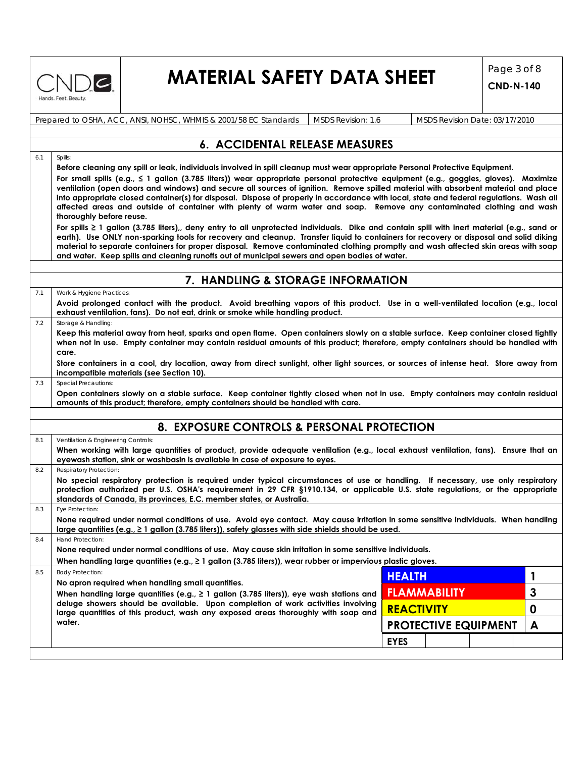

### **MATERIAL SAFETY DATA SHEET** Page 3 of 8

**CND-N-140**

Prepared to OSHA, ACC, ANSI, NOHSC, WHMIS & 2001/58 EC Standards MSDS Revision: 1.6 MSDS Revision Date: 03/17/2010

### **6. ACCIDENTAL RELEASE MEASURES**

6.1 Spills:

**Before cleaning any spill or leak, individuals involved in spill cleanup must wear appropriate Personal Protective Equipment. For small spills (e.g., ≤ 1 gallon (3.785 liters)) wear appropriate personal protective equipment (e.g., goggles, gloves). Maximize ventilation (open doors and windows) and secure all sources of ignition. Remove spilled material with absorbent material and place into appropriate closed container(s) for disposal. Dispose of properly in accordance with local, state and federal regulations. Wash all affected areas and outside of container with plenty of warm water and soap. Remove any contaminated clothing and wash thoroughly before reuse.** 

**For spills ≥ 1 gallon (3.785 liters),, deny entry to all unprotected individuals. Dike and contain spill with inert material (e.g., sand or earth). Use ONLY non-sparking tools for recovery and cleanup. Transfer liquid to containers for recovery or disposal and solid diking material to separate containers for proper disposal. Remove contaminated clothing promptly and wash affected skin areas with soap and water. Keep spills and cleaning runoffs out of municipal sewers and open bodies of water.** 

### **7. HANDLING & STORAGE INFORMATION**

7.1 Work & Hygiene Practices:

**Avoid prolonged contact with the product. Avoid breathing vapors of this product. Use in a well-ventilated location (e.g., local exhaust ventilation, fans). Do not eat, drink or smoke while handling product.** 

7.2 Storage & Handling:

**Keep this material away from heat, sparks and open flame. Open containers slowly on a stable surface. Keep container closed tightly when not in use. Empty container may contain residual amounts of this product; therefore, empty containers should be handled with care.** 

**Store containers in a cool, dry location, away from direct sunlight, other light sources, or sources of intense heat. Store away from incompatible materials (see Section 10).** 

7.3 Special Precautions:

**Open containers slowly on a stable surface. Keep container tightly closed when not in use. Empty containers may contain residual amounts of this product; therefore, empty containers should be handled with care.** 

### **8. EXPOSURE CONTROLS & PERSONAL PROTECTION**

|     | <u>8. EXPOSURE CONTROLS &amp; FERSONAL FROIECTION</u>                                                                                                                                                                                                                                                                                        |                   |                     |                             |   |  |  |
|-----|----------------------------------------------------------------------------------------------------------------------------------------------------------------------------------------------------------------------------------------------------------------------------------------------------------------------------------------------|-------------------|---------------------|-----------------------------|---|--|--|
| 8.1 | Ventilation & Engineering Controls:                                                                                                                                                                                                                                                                                                          |                   |                     |                             |   |  |  |
|     | When working with large quantities of product, provide adequate ventilation (e.g., local exhaust ventilation, fans). Ensure that an<br>eyewash station, sink or washbasin is available in case of exposure to eyes.                                                                                                                          |                   |                     |                             |   |  |  |
| 8.2 | Respiratory Protection:                                                                                                                                                                                                                                                                                                                      |                   |                     |                             |   |  |  |
|     | No special respiratory protection is required under typical circumstances of use or handling. If necessary, use only respiratory<br>protection authorized per U.S. OSHA's requirement in 29 CFR §1910.134, or applicable U.S. state regulations, or the appropriate<br>standards of Canada, its provinces, E.C. member states, or Australia. |                   |                     |                             |   |  |  |
| 8.3 | Eye Protection:                                                                                                                                                                                                                                                                                                                              |                   |                     |                             |   |  |  |
|     | None required under normal conditions of use. Avoid eye contact. May cause irritation in some sensitive individuals. When handling<br>large quantities (e.g., $\geq 1$ gallon (3.785 liters)), safety glasses with side shields should be used.                                                                                              |                   |                     |                             |   |  |  |
| 8.4 | Hand Protection:                                                                                                                                                                                                                                                                                                                             |                   |                     |                             |   |  |  |
|     | None required under normal conditions of use. May cause skin irritation in some sensitive individuals.                                                                                                                                                                                                                                       |                   |                     |                             |   |  |  |
|     | When handling large quantities (e.g., $\geq 1$ gallon (3.785 liters)), wear rubber or impervious plastic gloves.                                                                                                                                                                                                                             |                   |                     |                             |   |  |  |
| 8.5 | <b>Body Protection:</b>                                                                                                                                                                                                                                                                                                                      | <b>HEALTH</b>     |                     |                             |   |  |  |
|     | No apron required when handling small quantities.<br>When handling large quantities (e.g., $\geq 1$ gallon (3.785 liters)), eye wash stations and                                                                                                                                                                                            |                   | <b>FLAMMABILITY</b> |                             | 3 |  |  |
|     | deluge showers should be available. Upon completion of work activities involving                                                                                                                                                                                                                                                             |                   |                     |                             |   |  |  |
|     | large quantities of this product, wash any exposed areas thoroughly with soap and                                                                                                                                                                                                                                                            | <b>REACTIVITY</b> |                     |                             | 0 |  |  |
|     | water.                                                                                                                                                                                                                                                                                                                                       |                   |                     | <b>PROTECTIVE EQUIPMENT</b> | A |  |  |
|     |                                                                                                                                                                                                                                                                                                                                              | <b>EYES</b>       |                     |                             |   |  |  |
|     |                                                                                                                                                                                                                                                                                                                                              |                   |                     |                             |   |  |  |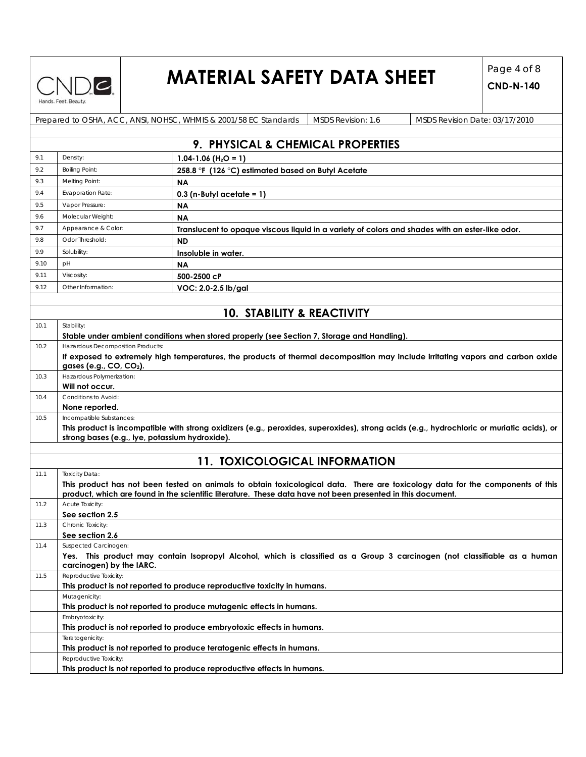

### **MATERIAL SAFETY DATA SHEET**  $\begin{bmatrix} \text{Page 4 of 8} \\ \text{CND N 149} \end{bmatrix}$

|      |                                                | Prepared to OSHA, ACC, ANSI, NOHSC, WHMIS & 2001/58 EC Standards<br>MSDS Revision: 1.6<br>MSDS Revision Date: 03/17/2010                   |
|------|------------------------------------------------|--------------------------------------------------------------------------------------------------------------------------------------------|
|      |                                                |                                                                                                                                            |
|      |                                                | 9. PHYSICAL & CHEMICAL PROPERTIES                                                                                                          |
| 9.1  | Density:                                       | 1.04-1.06 ( $H_2O = 1$ )                                                                                                                   |
| 9.2  | <b>Boiling Point:</b>                          | 258.8 °F (126 °C) estimated based on Butyl Acetate                                                                                         |
| 9.3  | Melting Point:                                 | <b>NA</b>                                                                                                                                  |
| 9.4  | Evaporation Rate:                              | $0.3$ (n-Butyl acetate = 1)                                                                                                                |
| 9.5  | Vapor Pressure:                                | <b>NA</b>                                                                                                                                  |
| 9.6  | Molecular Weight:                              | <b>NA</b>                                                                                                                                  |
| 9.7  | Appearance & Color:                            | Translucent to opaque viscous liquid in a variety of colors and shades with an ester-like odor.                                            |
| 9.8  | Odor Threshold:                                | <b>ND</b>                                                                                                                                  |
| 9.9  | Solubility:                                    |                                                                                                                                            |
| 9.10 | рH                                             | Insoluble in water.                                                                                                                        |
|      |                                                | ΝA                                                                                                                                         |
| 9.11 | Viscosity:                                     | 500-2500 cP                                                                                                                                |
| 9.12 | Other Information:                             | VOC: 2.0-2.5 lb/gal                                                                                                                        |
|      |                                                |                                                                                                                                            |
|      |                                                | <b>10. STABILITY &amp; REACTIVITY</b>                                                                                                      |
| 10.1 | Stability:                                     |                                                                                                                                            |
|      |                                                | Stable under ambient conditions when stored properly (see Section 7, Storage and Handling).                                                |
| 10.2 | Hazardous Decomposition Products:              |                                                                                                                                            |
|      |                                                | If exposed to extremely high temperatures, the products of thermal decomposition may include irritating vapors and carbon oxide            |
|      | gases (e.g., CO, CO <sub>2</sub> ).            |                                                                                                                                            |
| 10.3 | Hazardous Polymerization:<br>Will not occur.   |                                                                                                                                            |
| 10.4 | Conditions to Avoid:                           |                                                                                                                                            |
|      | None reported.                                 |                                                                                                                                            |
| 10.5 | Incompatible Substances:                       |                                                                                                                                            |
|      |                                                | This product is incompatible with strong oxidizers (e.g., peroxides, superoxides), strong acids (e.g., hydrochloric or muriatic acids), or |
|      | strong bases (e.g., lye, potassium hydroxide). |                                                                                                                                            |
|      |                                                |                                                                                                                                            |
|      |                                                | <b>11. TOXICOLOGICAL INFORMATION</b>                                                                                                       |
| 11.1 | <b>Toxicity Data:</b>                          |                                                                                                                                            |
|      |                                                | This product has not been tested on animals to obtain toxicological data. There are toxicology data for the components of this             |
|      |                                                | product, which are found in the scientific literature. These data have not been presented in this document.                                |
| 11.2 | Acute Toxicity:                                |                                                                                                                                            |
|      | See section 2.5                                |                                                                                                                                            |
| 11.3 | Chronic Toxicity:                              |                                                                                                                                            |
|      | See section 2.6                                |                                                                                                                                            |
| 11.4 | Suspected Carcinogen:                          |                                                                                                                                            |
|      | carcinogen) by the IARC.                       | Yes. This product may contain Isopropyl Alcohol, which is classified as a Group 3 carcinogen (not classifiable as a human                  |
| 11.5 | Reproductive Toxicity:                         |                                                                                                                                            |
|      |                                                | This product is not reported to produce reproductive toxicity in humans.                                                                   |
|      | Mutagenicity:                                  |                                                                                                                                            |
|      |                                                | This product is not reported to produce mutagenic effects in humans.                                                                       |
|      | Embryotoxicity:                                |                                                                                                                                            |
|      |                                                | This product is not reported to produce embryotoxic effects in humans.                                                                     |
|      | Teratogenicity:                                |                                                                                                                                            |
|      |                                                | This product is not reported to produce teratogenic effects in humans.                                                                     |
|      | Reproductive Toxicity:                         |                                                                                                                                            |
|      |                                                | This product is not reported to produce reproductive effects in humans.                                                                    |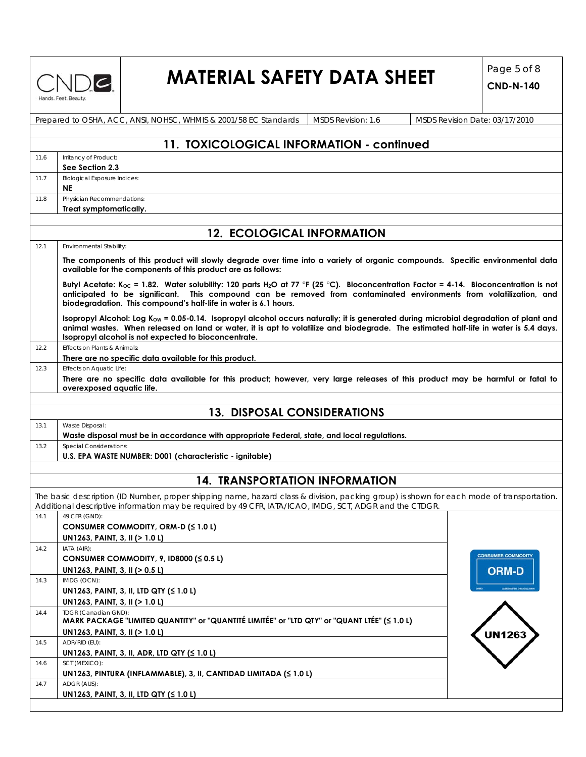

# **MATERIAL SAFETY DATA SHEET**  $\begin{bmatrix} \text{Page 5 of 8} \\ \text{CND N 149} \end{bmatrix}$

|      | Prepared to OSHA, ACC, ANSI, NOHSC, WHMIS & 2001/58 EC Standards<br><b>MSDS Revision: 1.6</b><br>MSDS Revision Date: 03/17/2010                                                                                                                                                                                                                          |
|------|----------------------------------------------------------------------------------------------------------------------------------------------------------------------------------------------------------------------------------------------------------------------------------------------------------------------------------------------------------|
|      |                                                                                                                                                                                                                                                                                                                                                          |
|      | 11. TOXICOLOGICAL INFORMATION - continued                                                                                                                                                                                                                                                                                                                |
| 11.6 | Irritancy of Product:                                                                                                                                                                                                                                                                                                                                    |
|      | See Section 2.3                                                                                                                                                                                                                                                                                                                                          |
| 11.7 | <b>Biological Exposure Indices:</b><br><b>NE</b>                                                                                                                                                                                                                                                                                                         |
| 11.8 | Physician Recommendations:                                                                                                                                                                                                                                                                                                                               |
|      | Treat symptomatically.                                                                                                                                                                                                                                                                                                                                   |
|      | <b>12. ECOLOGICAL INFORMATION</b>                                                                                                                                                                                                                                                                                                                        |
| 12.1 | Environmental Stability:                                                                                                                                                                                                                                                                                                                                 |
|      | The components of this product will slowly degrade over time into a variety of organic compounds. Specific environmental data<br>available for the components of this product are as follows:                                                                                                                                                            |
|      | Butyl Acetate: K <sub>oc</sub> = 1.82. Water solubility: 120 parts H <sub>2</sub> O at 77 °F (25 °C). Bioconcentration Factor = 4-14. Bioconcentration is not<br>anticipated to be significant. This compound can be removed from contaminated environments from volatilization, and<br>biodegradation. This compound's half-life in water is 6.1 hours. |
|      | Isopropyl Alcohol: Log K <sub>ow</sub> = 0.05-0.14. Isopropyl alcohol occurs naturally; it is generated during microbial degradation of plant and<br>animal wastes. When released on land or water, it is apt to volatilize and biodegrade. The estimated half-life in water is 5.4 days.<br>Isopropyl alcohol is not expected to bioconcentrate.        |
| 12.2 | Effects on Plants & Animals:                                                                                                                                                                                                                                                                                                                             |
|      | There are no specific data available for this product.                                                                                                                                                                                                                                                                                                   |
| 12.3 | Effects on Aquatic Life:<br>There are no specific data available for this product; however, very large releases of this product may be harmful or fatal to<br>overexposed aquatic life.                                                                                                                                                                  |
|      |                                                                                                                                                                                                                                                                                                                                                          |
|      | <b>13. DISPOSAL CONSIDERATIONS</b>                                                                                                                                                                                                                                                                                                                       |
| 13.1 | Waste Disposal:                                                                                                                                                                                                                                                                                                                                          |
|      | Waste disposal must be in accordance with appropriate Federal, state, and local regulations.                                                                                                                                                                                                                                                             |
| 13.2 | Special Considerations:                                                                                                                                                                                                                                                                                                                                  |
|      | U.S. EPA WASTE NUMBER: D001 (characteristic - ignitable)                                                                                                                                                                                                                                                                                                 |
|      |                                                                                                                                                                                                                                                                                                                                                          |
|      | <b>14. TRANSPORTATION INFORMATION</b>                                                                                                                                                                                                                                                                                                                    |
|      | The basic description (ID Number, proper shipping name, hazard class & division, packing group) is shown for each mode of transportation.<br>Additional descriptive information may be required by 49 CFR, IATA/ICAO, IMDG, SCT, ADGR and the CTDGR.                                                                                                     |
| 14.1 | 49 CFR (GND):                                                                                                                                                                                                                                                                                                                                            |
|      | CONSUMER COMMODITY, ORM-D (≤ 1.0 L)                                                                                                                                                                                                                                                                                                                      |
|      | UN1263, PAINT, 3, II (> 1.0 L)                                                                                                                                                                                                                                                                                                                           |
| 14.2 | IATA (AIR):<br><b>CONSUMER COMMODITY</b>                                                                                                                                                                                                                                                                                                                 |
|      | CONSUMER COMMODITY, 9, ID8000 ( $\leq 0.5$ L)<br>UN1263, PAINT, 3, II (> 0.5 L)                                                                                                                                                                                                                                                                          |
| 14.3 | <b>ORM-D</b><br>IMDG (OCN):                                                                                                                                                                                                                                                                                                                              |
|      | UN1263, PAINT, 3, II, LTD QTY $(51.01)$                                                                                                                                                                                                                                                                                                                  |
|      | UN1263, PAINT, 3, II (> 1.0 L)                                                                                                                                                                                                                                                                                                                           |
| 14.4 | TDGR (Canadian GND):<br>MARK PACKAGE "LIMITED QUANTITY" or "QUANTITÉ LIMITÉE" or "LTD QTY" or "QUANT LTÉE" (≤ 1.0 L)                                                                                                                                                                                                                                     |
|      | UN1263, PAINT, 3, II (> 1.0 L)<br>UN1263                                                                                                                                                                                                                                                                                                                 |
| 14.5 | ADR/RID (EU):<br>UN1263, PAINT, 3, II, ADR, LTD QTY (≤ 1.0 L)                                                                                                                                                                                                                                                                                            |
| 14.6 | SCT (MEXICO):                                                                                                                                                                                                                                                                                                                                            |
| 14.7 | UN1263, PINTURA (INFLAMMABLE), 3, II, CANTIDAD LIMITADA (S 1.0 L)<br>ADGR (AUS):<br>UN1263, PAINT, 3, II, LTD QTY (≤ 1.0 L)                                                                                                                                                                                                                              |
|      |                                                                                                                                                                                                                                                                                                                                                          |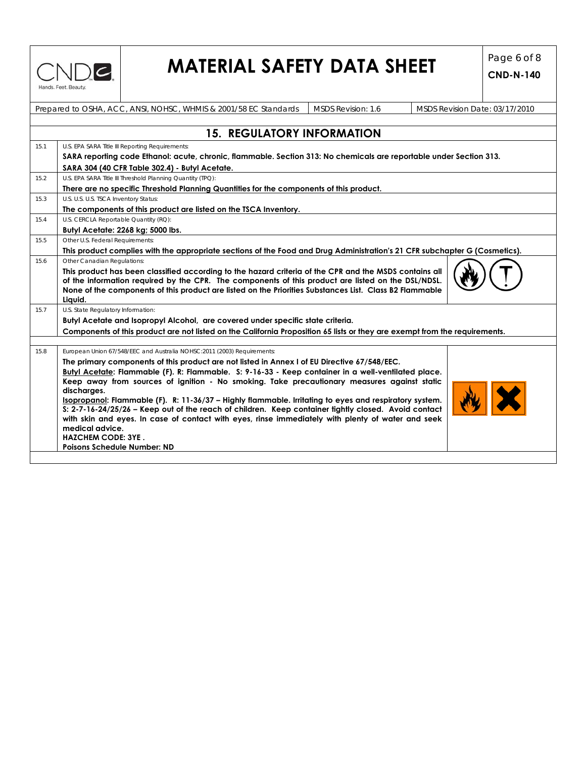

# **MATERIAL SAFETY DATA SHEET**  $\begin{bmatrix} \text{Page 6 of 8} \\ \text{CND N 149} \end{bmatrix}$

|      | Prepared to OSHA, ACC, ANSI, NOHSC, WHMIS & 2001/58 EC Standards<br>MSDS Revision: 1.6<br>MSDS Revision Date: 03/17/2010                                                                                                 |
|------|--------------------------------------------------------------------------------------------------------------------------------------------------------------------------------------------------------------------------|
|      |                                                                                                                                                                                                                          |
|      | <b>15. REGULATORY INFORMATION</b>                                                                                                                                                                                        |
| 15.1 | U.S. EPA SARA Title III Reporting Requirements:                                                                                                                                                                          |
|      | SARA reporting code Ethanol: acute, chronic, flammable. Section 313: No chemicals are reportable under Section 313.                                                                                                      |
|      | SARA 304 (40 CFR Table 302.4) - Butyl Acetate.                                                                                                                                                                           |
| 15.2 | U.S. EPA SARA Title III Threshold Planning Quantity (TPQ):                                                                                                                                                               |
|      | There are no specific Threshold Planning Quantities for the components of this product.                                                                                                                                  |
| 15.3 | U.S. U.S. U.S. TSCA Inventory Status:                                                                                                                                                                                    |
|      | The components of this product are listed on the TSCA Inventory.                                                                                                                                                         |
| 15.4 | U.S. CERCLA Reportable Quantity (RQ):                                                                                                                                                                                    |
|      | Butyl Acetate: 2268 kg; 5000 lbs.                                                                                                                                                                                        |
| 15.5 | Other U.S. Federal Requirements:                                                                                                                                                                                         |
|      | This product complies with the appropriate sections of the Food and Drug Administration's 21 CFR subchapter G (Cosmetics).                                                                                               |
| 15.6 | Other Canadian Regulations:                                                                                                                                                                                              |
|      | of the information required by the CPR. The components of this product are listed on the DSL/NDSL.<br>None of the components of this product are listed on the Priorities Substances List. Class B2 Flammable<br>Liquid. |
| 15.7 | U.S. State Regulatory Information:                                                                                                                                                                                       |
|      | Butyl Acetate and Isopropyl Alcohol, are covered under specific state criteria.                                                                                                                                          |
|      | Components of this product are not listed on the California Proposition 65 lists or they are exempt from the requirements.                                                                                               |
|      |                                                                                                                                                                                                                          |
| 15.8 | European Union 67/548/EEC and Australia NOHSC:2011 (2003) Requirements:                                                                                                                                                  |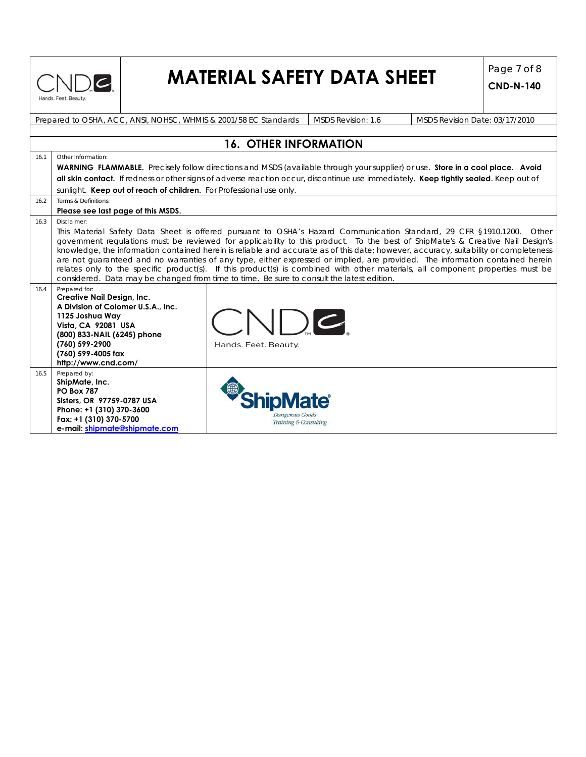

# **MATERIAL SAFETY DATA SHEET**  $\begin{bmatrix} \text{Page 7 of 8} \\ \text{CND-N-140} \end{bmatrix}$

|      | MSDS Revision: 1.6<br>Prepared to OSHA, ACC, ANSI, NOHSC, WHMIS & 2001/58 EC Standards<br>MSDS Revision Date: 03/17/2010                                                                                                                                                                                                                                                                                                                                                                                                                                                                                                                                                                                                                                                      |  |  |  |  |  |  |  |  |
|------|-------------------------------------------------------------------------------------------------------------------------------------------------------------------------------------------------------------------------------------------------------------------------------------------------------------------------------------------------------------------------------------------------------------------------------------------------------------------------------------------------------------------------------------------------------------------------------------------------------------------------------------------------------------------------------------------------------------------------------------------------------------------------------|--|--|--|--|--|--|--|--|
|      |                                                                                                                                                                                                                                                                                                                                                                                                                                                                                                                                                                                                                                                                                                                                                                               |  |  |  |  |  |  |  |  |
|      | <b>16. OTHER INFORMATION</b>                                                                                                                                                                                                                                                                                                                                                                                                                                                                                                                                                                                                                                                                                                                                                  |  |  |  |  |  |  |  |  |
| 16.1 | Other Information:                                                                                                                                                                                                                                                                                                                                                                                                                                                                                                                                                                                                                                                                                                                                                            |  |  |  |  |  |  |  |  |
|      | <b>WARNING FLAMMABLE.</b> Precisely follow directions and MSDS (available through your supplier) or use. Store in a cool place. Avoid                                                                                                                                                                                                                                                                                                                                                                                                                                                                                                                                                                                                                                         |  |  |  |  |  |  |  |  |
|      | all skin contact. If redness or other signs of adverse reaction occur, discontinue use immediately. Keep tightly sealed. Keep out of                                                                                                                                                                                                                                                                                                                                                                                                                                                                                                                                                                                                                                          |  |  |  |  |  |  |  |  |
|      | sunlight. Keep out of reach of children. For Professional use only.                                                                                                                                                                                                                                                                                                                                                                                                                                                                                                                                                                                                                                                                                                           |  |  |  |  |  |  |  |  |
| 16.2 | Terms & Definitions:                                                                                                                                                                                                                                                                                                                                                                                                                                                                                                                                                                                                                                                                                                                                                          |  |  |  |  |  |  |  |  |
|      | Please see last page of this MSDS.                                                                                                                                                                                                                                                                                                                                                                                                                                                                                                                                                                                                                                                                                                                                            |  |  |  |  |  |  |  |  |
| 16.3 | Disclaimer:<br>This Material Safety Data Sheet is offered pursuant to OSHA's Hazard Communication Standard, 29 CFR §1910.1200. Other<br>government regulations must be reviewed for applicability to this product. To the best of ShipMate's & Creative Nail Design's<br>knowledge, the information contained herein is reliable and accurate as of this date; however, accuracy, suitability or completeness<br>are not quaranteed and no warranties of any type, either expressed or implied, are provided. The information contained herein<br>relates only to the specific product(s). If this product(s) is combined with other materials, all component properties must be<br>considered. Data may be changed from time to time. Be sure to consult the latest edition. |  |  |  |  |  |  |  |  |
| 16.4 | Prepared for:<br>Creative Nail Design, Inc.<br>A Division of Colomer U.S.A., Inc.<br><b>NDC</b><br>1125 Joshua Wav<br>Vista, CA 92081 USA<br>(800) 833-NAIL (6245) phone<br>(760) 599-2900<br>Hands. Feet. Beauty.<br>(760) 599-4005 fax<br>http://www.cnd.com/                                                                                                                                                                                                                                                                                                                                                                                                                                                                                                               |  |  |  |  |  |  |  |  |
| 16.5 | Prepared by:<br>ShipMate, Inc.<br><b>PO Box 787</b><br>Sisters, OR 97759-0787 USA<br>Phone: +1 (310) 370-3600<br>Dangerous Goods<br>Fax: +1 (310) 370-5700<br>Training & Consulting<br>e-mail: shipmate@shipmate.com                                                                                                                                                                                                                                                                                                                                                                                                                                                                                                                                                          |  |  |  |  |  |  |  |  |